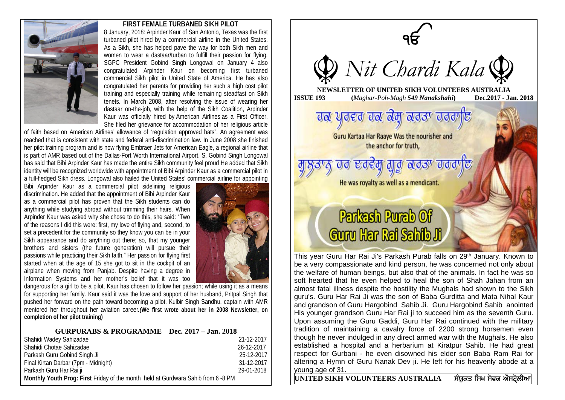

## **FIRST FEMALE TURBANED SIKH PILOT**

8 January, 2018: Arpinder Kaur of San Antonio, Texas was the first turbaned pilot hired by a commercial airline in the United States. As a Sikh, she has helped pave the way for both Sikh men and women to wear a dastaar/turban to fulfill their passion for flying. SGPC President Gobind Singh Longowal on January 4 also congratulated Arpinder Kaur on becoming first turbaned commercial Sikh pilot in United State of America. He has also congratulated her parents for providing her such a high cost pilot training and especially training while remaining steadfast on Sikh tenets. In March 2008, after resolving the issue of wearing her dastaar on-the-job, with the help of the Sikh Coalition, Arpinder Kaur was officially hired by American Airlines as a First Officer. She filed her grievance for accommodation of her religious article

of faith based on American Airlines' allowance of "regulation approved hats". An agreement was reached that is consistent with state and federal anti-discrimination law. In June 2008 she finished her pilot training program and is now flying Embraer Jets for American Eagle, a regional airline that is part of AMR based out of the Dallas-Fort Worth International Airport. S. Gobind Singh Longowal has said that Bibi Arpinder Kaur has made the entire Sikh community feel proud He added that Sikh identity will be recognized worldwide with appointment of Bibi Arpinder Kaur as a commercial pilot in a full-fledged Sikh dress. Longowal also hailed the United States' commercial airline for appointing

Bibi Arpinder Kaur as a commercial pilot sidelining religious discrimination. He added that the appointment of Bibi Arpinder Kaur as a commercial pilot has proven that the Sikh students can do anything while studying abroad without trimming their hairs. When Arpinder Kaur was asked why she chose to do this, she said: "Two of the reasons I did this were: first, my love of flying and, second, to set a precedent for the community so they know you can be in your Sikh appearance and do anything out there; so, that my younger brothers and sisters (the future generation) will pursue their passions while practicing their Sikh faith." Her passion for flying first started when at the age of 15 she got to sit in the cockpit of an airplane when moving from Panjab. Despite having a degree in Information Systems and her mother's belief that it was too



dangerous for a girl to be a pilot, Kaur has chosen to follow her passion; while using it as a means for supporting her family. Kaur said it was the love and support of her husband, Pritpal Singh that pushed her forward on the path toward becoming a pilot. Kulbir Singh Sandhu, captain with AMR mentored her throughout her aviation career*.(***We first wrote about her in 2008 Newsletter, on completion of her pilot training)**

| $GURPURABS$ & PROGRAMME Dec. 2017 – Jan. 2018 |  |
|-----------------------------------------------|--|
|-----------------------------------------------|--|

| Shahidi Wadey Sahizadae                                                          | 21-12-2017 |
|----------------------------------------------------------------------------------|------------|
| Shahidi Chotae Sahizadae                                                         | 26-12-2017 |
| Parkash Guru Gobind Singh Ji                                                     | 25-12-2017 |
| Final Kirtan Darbar (7pm - Midnight)                                             | 31-12-2017 |
| Parkash Guru Har Rai ji                                                          | 29-01-2018 |
| Monthly Youth Prog: First Friday of the month held at Gurdwara Sahib from 6-8 PM |            |



This year Guru Har Rai Ji's Parkash Purab falls on 29<sup>th</sup> January. Known to be a very compassionate and kind person, he was concerned not only about the welfare of human beings, but also that of the animals. In fact he was so soft hearted that he even helped to heal the son of Shah Jahan from an almost fatal illness despite the hostility the Mughals had shown to the Sikh guru's. Guru Har Rai Ji was the son of Baba Gurditta and Mata Nihal Kaur and grandson of Guru Hargobind Sahib Ji. Guru Hargobind Sahib anointed His younger grandson Guru Har Rai ji to succeed him as the seventh Guru. Upon assuming the Guru Gaddi, Guru Har Rai continued with the military tradition of maintaining a cavalry force of 2200 strong horsemen even though he never indulged in any direct armed war with the Mughals. He also established a hospital and a herbarium at Kiratpur Sahib. He had great respect for Gurbani - he even disowned his elder son Baba Ram Rai for altering a Hymn of Guru Nanak Dev ji. He left for his heavenly abode at a young age of 31.

**UNITED SIKH VOLUNTEERS AUSTRALIA** sMXukq isK syvk AOstyRlIAw